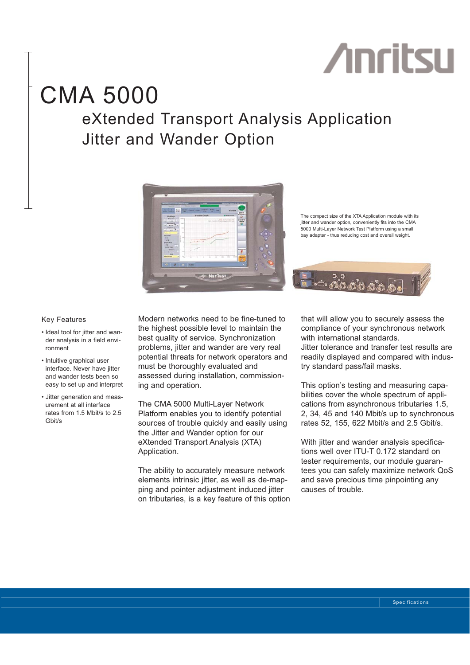

# CMA 5000 eXtended Transport Analysis Application Jitter and Wander Option



The compact size of the XTA Application module with its jitter and wander option, conveniently fits into the CMA 5000 Multi-Layer Network Test Platform using a small bay adapter - thus reducing cost and overall weight.



### Key Features

- Ideal tool for jitter and wander analysis in a field environment
- Intuitive graphical user interface. Never have jitter and wander tests been so easy to set up and interpret
- Jitter generation and measurement at all interface rates from 1.5 Mbit/s to 2.5 Gbit/s

Modern networks need to be fine-tuned to the highest possible level to maintain the best quality of service. Synchronization problems, jitter and wander are very real potential threats for network operators and must be thoroughly evaluated and assessed during installation, commissioning and operation.

The CMA 5000 Multi-Layer Network Platform enables you to identify potential sources of trouble quickly and easily using the Jitter and Wander option for our eXtended Transport Analysis (XTA) Application.

The ability to accurately measure network elements intrinsic jitter, as well as de-mapping and pointer adjustment induced jitter on tributaries, is a key feature of this option that will allow you to securely assess the compliance of your synchronous network with international standards. Jitter tolerance and transfer test results are readily displayed and compared with industry standard pass/fail masks.

This option's testing and measuring capabilities cover the whole spectrum of applications from asynchronous tributaries 1.5, 2, 34, 45 and 140 Mbit/s up to synchronous rates 52, 155, 622 Mbit/s and 2.5 Gbit/s.

With jitter and wander analysis specifications well over ITU-T 0.172 standard on tester requirements, our module guarantees you can safely maximize network QoS and save precious time pinpointing any causes of trouble.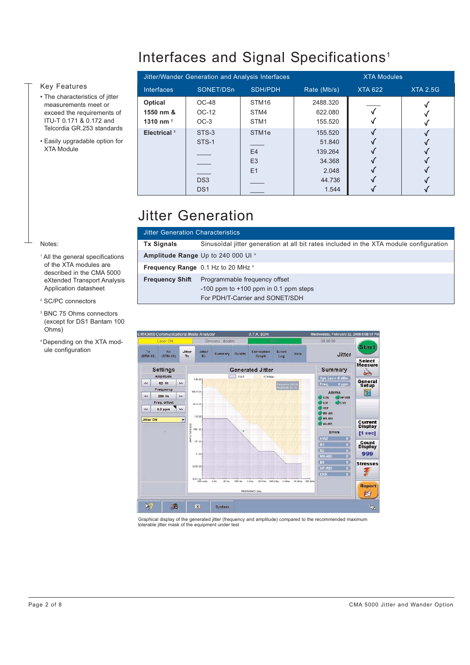# Interfaces and Signal Specifications<sup>1</sup>

### Key Features

- The characteristics of jitter measurements meet or exceed the requirements of ITU-T 0.171 & 0.172 and Telcordia GR.253 standards
- Easily upgradable option for XTA Module

|                                        | Jitter/Wander Generation and Analysis Interfaces     |                                                             | <b>XTA Modules</b>                                                 |                |                 |
|----------------------------------------|------------------------------------------------------|-------------------------------------------------------------|--------------------------------------------------------------------|----------------|-----------------|
| <b>Interfaces</b>                      | SONET/DSn                                            | SDH/PDH                                                     | Rate (Mb/s)                                                        | <b>XTA 622</b> | <b>XTA 2.5G</b> |
| Optical<br>1550 nm &<br>1310 nm $^{2}$ | <b>OC-48</b><br>OC-12<br>$OC-3$                      | STM <sub>16</sub><br>STM4<br>STM1                           | 2488.320<br>622.080<br>155.520                                     |                |                 |
| Electrical <sup>3</sup>                | STS-3<br>STS-1<br>DS <sub>3</sub><br>DS <sub>1</sub> | STM <sub>1e</sub><br>E <sub>4</sub><br>E <sub>3</sub><br>E1 | 155.520<br>51.840<br>139.264<br>34.368<br>2.048<br>44.736<br>1.544 |                |                 |

## Jitter Generation

| <b>Jitter Generation Characteristics</b> |                                                                                                               |  |  |
|------------------------------------------|---------------------------------------------------------------------------------------------------------------|--|--|
| <b>Tx Signals</b>                        | Sinusoïdal jitter generation at all bit rates included in the XTA module configuration                        |  |  |
|                                          | Amplitude Range Up to 240 000 Ul <sup>4</sup>                                                                 |  |  |
|                                          | <b>Frequency Range</b> 0.1 Hz to 20 MHz <sup>4</sup>                                                          |  |  |
| <b>Frequency Shift</b>                   | Programmable frequency offset<br>$-100$ ppm to $+100$ ppm in 0.1 ppm steps<br>For PDH/T-Carrier and SONET/SDH |  |  |



Graphical display of the generated jitter (frequency and amplitude) compared to the recommended maximum tolerable jitter mask of the equipment under test

### Notes:

- <sup>1</sup> All the general specifications of the XTA modules are described in the CMA 5000 eXtended Transport Analysis Application datasheet
- <sup>2</sup> SC/PC connectors
- <sup>3</sup> BNC 75 Ohms connectors (except for DS1 Bantam 100 Ohms)
- 4 Depending on the XTA module configuration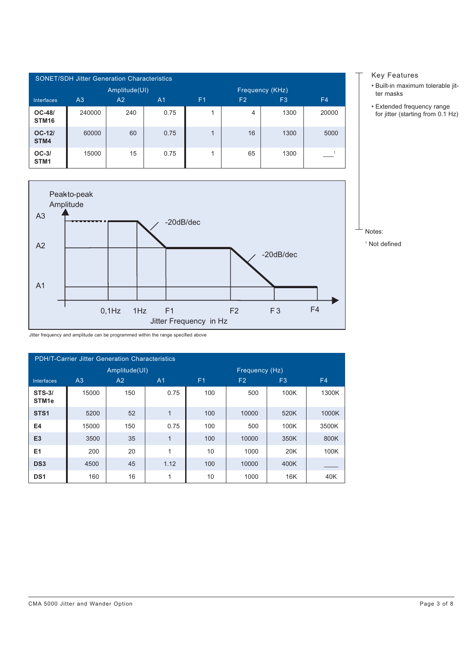| <b>SONET/SDH Jitter Generation Characteristics</b> |               |     |                |                 |                |                |                |
|----------------------------------------------------|---------------|-----|----------------|-----------------|----------------|----------------|----------------|
|                                                    | Amplitude(UI) |     |                | Frequency (KHz) |                |                |                |
| Interfaces                                         | A3            | A2  | A <sub>1</sub> | F <sub>1</sub>  | F <sub>2</sub> | F <sub>3</sub> | F <sub>4</sub> |
| <b>OC-48/</b><br>STM <sub>16</sub>                 | 240000        | 240 | 0.75           | 1               | 4              | 1300           | 20000          |
| $OC-12/$<br>STM4                                   | 60000         | 60  | 0.75           | 1               | 16             | 1300           | 5000           |
| $OC-3/$<br>STM1                                    | 15000         | 15  | 0.75           | 1               | 65             | 1300           |                |



### Key Features

- Built-in maximum tolerable jitter masks
- Extended frequency range for jitter (starting from 0.1 Hz)

Notes: <sup>1</sup> Not defined

Jitter frequency and amplitude can be programmed within the range specified above

| <b>PDH/T-Carrier Jitter Generation Characteristics</b> |                |     |                |                |                |                |       |
|--------------------------------------------------------|----------------|-----|----------------|----------------|----------------|----------------|-------|
|                                                        | Amplitude(UI)  |     |                |                | Frequency (Hz) |                |       |
| <b>Interfaces</b>                                      | A <sub>3</sub> | A2  | A <sub>1</sub> | F <sub>1</sub> | F2             | F <sub>3</sub> | F4    |
| <b>STS-3/</b><br>STM <sub>1e</sub>                     | 15000          | 150 | 0.75           | 100            | 500            | 100K           | 1300K |
| STS <sub>1</sub>                                       | 5200           | 52  | 1              | 100            | 10000          | 520K           | 1000K |
| E4                                                     | 15000          | 150 | 0.75           | 100            | 500            | 100K           | 3500K |
| E <sub>3</sub>                                         | 3500           | 35  | 1              | 100            | 10000          | 350K           | 800K  |
| E <sub>1</sub>                                         | 200            | 20  | 1              | 10             | 1000           | 20K            | 100K  |
| DS <sub>3</sub>                                        | 4500           | 45  | 1.12           | 100            | 10000          | 400K           |       |
| DS <sub>1</sub>                                        | 160            | 16  | 1              | 10             | 1000           | 16K            | 40K   |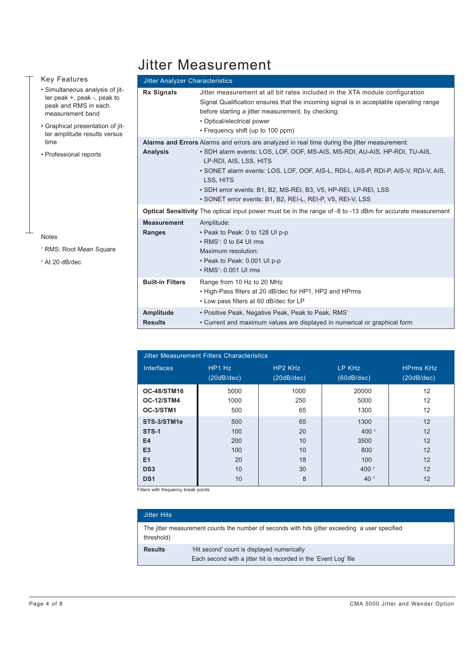## Jitter Measurement

| <b>Key Features</b>                                                                                                                                                                                                    | <b>Jitter Analyzer Characteristics</b> |                                                                                                                                                                                                                                                                                                                                                                                                                                           |
|------------------------------------------------------------------------------------------------------------------------------------------------------------------------------------------------------------------------|----------------------------------------|-------------------------------------------------------------------------------------------------------------------------------------------------------------------------------------------------------------------------------------------------------------------------------------------------------------------------------------------------------------------------------------------------------------------------------------------|
| · Simultaneous analysis of jit-<br>ter peak $+$ , peak $-$ , peak to<br>peak and RMS in each<br>measurement band<br>• Graphical presentation of jit-<br>ter amplitude results versus<br>time<br>• Professional reports | <b>Rx Signals</b>                      | Jitter measurement at all bit rates included in the XTA module configuration<br>Signal Qualification ensures that the incoming signal is in acceptable operating range<br>before starting a jitter measurement, by checking:<br>• Optical/electrical power<br>• Frequency shift (up to 100 ppm)                                                                                                                                           |
|                                                                                                                                                                                                                        | <b>Analysis</b>                        | Alarms and Errors Alarms and errors are analyzed in real time during the jitter measurement:<br>. SDH alarm events: LOS, LOF, OOF, MS-AIS, MS-RDI, AU-AIS, HP-RDI, TU-AIS,<br>LP-RDI, AIS, LSS, HITS<br>. SONET alarm events: LOS, LOF, OOF, AIS-L, RDI-L, AIS-P, RDI-P, AIS-V, RDI-V, AIS,<br>LSS, HITS<br>• SDH error events: B1, B2, MS-REI, B3, V5, HP-REI, LP-REI, LSS<br>• SONET error events: B1, B2, REI-L, REI-P, V5, REI-V, LSS |
|                                                                                                                                                                                                                        |                                        | <b>Optical Sensitivity</b> The optical input power must be in the range of -8 to -13 dBm for accurate measurement                                                                                                                                                                                                                                                                                                                         |
| <b>Notes</b><br><sup>1</sup> RMS: Root Mean Square<br>$2$ At 20 dB/dec                                                                                                                                                 | <b>Measurement</b><br><b>Ranges</b>    | Amplitude:<br>• Peak to Peak: 0 to 128 UI p-p<br>$\cdot$ RMS <sup>1</sup> : 0 to 64 UI rms<br>Maximum resolution:<br>• Peak to Peak: 0.001 UI p-p<br>• RMS <sup>1</sup> : 0.001 UI rms                                                                                                                                                                                                                                                    |
|                                                                                                                                                                                                                        | <b>Built-in Filters</b>                | Range from 10 Hz to 20 MHz<br>. High-Pass filters at 20 dB/dec for HP1, HP2 and HPrms<br>• Low pass filters at 60 dB/dec for LP                                                                                                                                                                                                                                                                                                           |
|                                                                                                                                                                                                                        | <b>Amplitude</b><br><b>Results</b>     | • Positive Peak, Negative Peak, Peak to Peak, RMS <sup>1</sup><br>• Current and maximum values are displayed in numerical or graphical form                                                                                                                                                                                                                                                                                               |

| Jitter Measurement Filters Characteristics |            |            |                  |                   |  |
|--------------------------------------------|------------|------------|------------------|-------------------|--|
| <b>Interfaces</b>                          | HP1 Hz     | HP2 KHz    | LP KHz           | <b>HPrms KHz</b>  |  |
|                                            | (20dB/dec) | (20dB/dec) | (60dB/dec)       | (20dB/dec)        |  |
| <b>OC-48/STM16</b>                         | 5000       | 1000       | 20000            | 12                |  |
| OC-12/STM4                                 | 1000       | 250        | 5000             | $12 \overline{ }$ |  |
| OC-3/STM1                                  | 500        | 65         | 1300             | 12                |  |
| STS-3/STM1e                                | 500        | 65         | 1300             | 12                |  |
| <b>STS-1</b>                               | 100        | 20         | 400 <sup>2</sup> | 12                |  |
| E4                                         | 200        | 10         | 3500             | 12                |  |
| E <sub>3</sub>                             | 100        | 10         | 800              | 12                |  |
| E1                                         | 20         | 18         | 100              | 12                |  |
| DS <sub>3</sub>                            | 10         | 30         | 400 <sup>2</sup> | 12                |  |
| DS <sub>1</sub>                            | 10         | 8          | 40 <sup>2</sup>  | 12                |  |

Filters with frequency break points

| threshold)     | The jitter measurement counts the number of seconds with hits (jitter exceeding a user specified                 |
|----------------|------------------------------------------------------------------------------------------------------------------|
| <b>Results</b> | 'Hit second' count is displayed numerically<br>Each second with a jitter hit is recorded in the 'Event Log' file |

## Notes

- <sup>1</sup> RMS: Root Mean Squa
- <sup>2</sup> At 20 dB/dec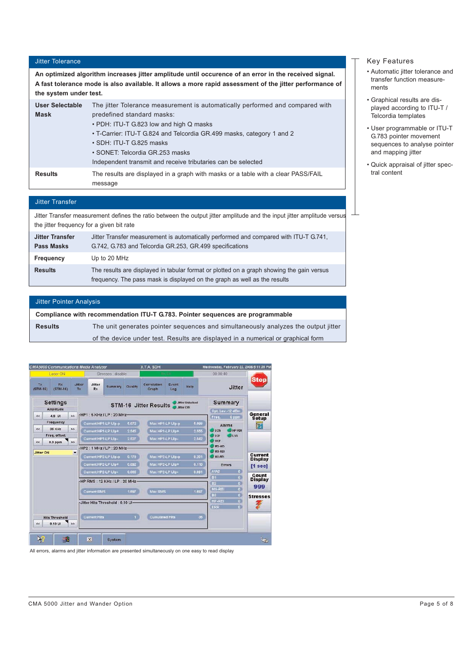Jitter Tolerance

**An optimized algorithm increases jitter amplitude until occurence of an error in the received signal. A fast tolerance mode is also available. It allows a more rapid assessment of the jitter performance of the system under test.**

| <b>User Selectable</b><br><b>Mask</b> | The jitter Tolerance measurement is automatically performed and compared with<br>predefined standard masks:<br>• PDH: ITU-T G.823 low and high Q masks<br>• T-Carrier: ITU-T G.824 and Telcordia GR.499 masks, category 1 and 2<br>• SDH: ITU-T G.825 masks<br>• SONET: Telcordia GR.253 masks<br>Independent transmit and receive tributaries can be selected |
|---------------------------------------|----------------------------------------------------------------------------------------------------------------------------------------------------------------------------------------------------------------------------------------------------------------------------------------------------------------------------------------------------------------|
| <b>Results</b>                        | The results are displayed in a graph with masks or a table with a clear PASS/FAIL<br>message                                                                                                                                                                                                                                                                   |

#### Jitter Transfer

Jitter Transfer measurement defines the ratio between the output jitter amplitude and the input jitter amplitude versus the jitter frequency for a given bit rate

| <b>Jitter Transfer</b> | Jitter Transfer measurement is automatically performed and compared with ITU-T G.741,                                                                                  |
|------------------------|------------------------------------------------------------------------------------------------------------------------------------------------------------------------|
| Pass Masks             | G.742, G.783 and Telcordia GR.253, GR.499 specifications                                                                                                               |
| Frequency              | Up to 20 MHz                                                                                                                                                           |
| <b>Results</b>         | The results are displayed in tabular format or plotted on a graph showing the gain versus<br>frequency. The pass mask is displayed on the graph as well as the results |

### Jitter Pointer Analysis

| Compliance with recommendation ITU-T G.783. Pointer sequences are programmable   |                                                                                    |  |  |  |
|----------------------------------------------------------------------------------|------------------------------------------------------------------------------------|--|--|--|
| <b>Results</b>                                                                   | The unit generates pointer sequences and simultaneously analyzes the output jitter |  |  |  |
| of the device under test. Results are displayed in a numerical or graphical form |                                                                                    |  |  |  |



All errors, alarms and jitter information are presented simultaneously on one easy to read display

### Key Features

- Automatic jitter tolerance and transfer function measurements
- Graphical results are displayed according to ITU-T / Telcordia templates
- User programmable or ITU-T G.783 pointer movement sequences to analyse pointer and mapping jitter
- Quick appraisal of jitter spectral content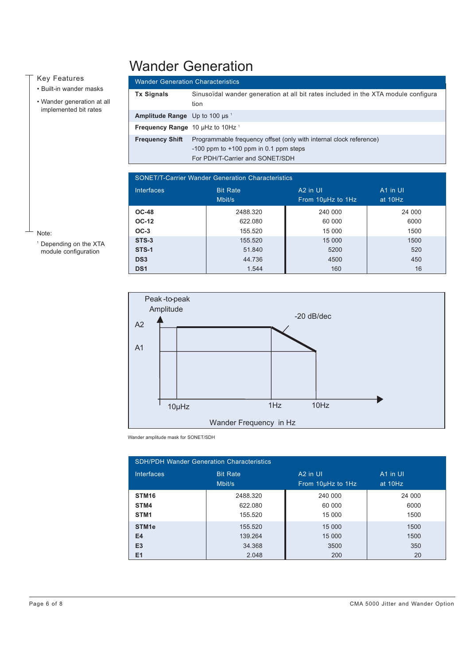## Wander Generation

## Key Features

- Built-in wander masks
- Wander generation at all implemented bit rates

| <b>Wander Generation Characteristics</b>                |                                                                                                                                                    |  |  |
|---------------------------------------------------------|----------------------------------------------------------------------------------------------------------------------------------------------------|--|--|
| <b>Tx Signals</b>                                       | Sinusoïdal wander generation at all bit rates included in the XTA module configura<br>tion                                                         |  |  |
| <b>Amplitude Range</b> Up to 100 $\mu$ s <sup>1</sup>   |                                                                                                                                                    |  |  |
| <b>Frequency Range</b> 10 $\mu$ Hz to 10Hz <sup>1</sup> |                                                                                                                                                    |  |  |
| <b>Frequency Shift</b>                                  | Programmable frequency offset (only with internal clock reference)<br>$-100$ ppm to $+100$ ppm in 0.1 ppm steps<br>For PDH/T-Carrier and SONET/SDH |  |  |

## SONET/T-Carrier Wander Generation Characteristic

| <u>o o i ili vullivi trulluvi oviiviutivii oliuluvtolivuv</u> |                 |                      |          |  |  |  |
|---------------------------------------------------------------|-----------------|----------------------|----------|--|--|--|
| <b>Interfaces</b>                                             | <b>Bit Rate</b> | A <sub>2</sub> in UI | A1 in UI |  |  |  |
|                                                               | Mbit/s          | From 10µHz to 1Hz    | at 10Hz  |  |  |  |
| <b>OC-48</b>                                                  | 2488.320        | 240 000              | 24 000   |  |  |  |
| <b>OC-12</b>                                                  | 622.080         | 60 000               | 6000     |  |  |  |
| $OC-3$                                                        | 155.520         | 15 000               | 1500     |  |  |  |
| STS-3                                                         | 155.520         | 15 000               | 1500     |  |  |  |
| STS-1                                                         | 51.840          | 5200                 | 520      |  |  |  |
| DS <sub>3</sub>                                               | 44.736          | 4500                 | 450      |  |  |  |
| DS <sub>1</sub>                                               | 1.544           | 160                  | 16       |  |  |  |



Wander amplitude mask for SONET/SDH

| <b>SDH/PDH Wander Generation Characteristics</b> |                 |                      |          |  |
|--------------------------------------------------|-----------------|----------------------|----------|--|
| <b>Interfaces</b>                                | <b>Bit Rate</b> | A <sub>2</sub> in UI | A1 in UI |  |
|                                                  | Mbit/s          | From 10µHz to 1Hz    | at 10Hz  |  |
| STM <sub>16</sub>                                | 2488.320        | 240 000              | 24 000   |  |
| STM4                                             | 622.080         | 60 000               | 6000     |  |
| STM <sub>1</sub>                                 | 155.520         | 15 000               | 1500     |  |
| STM <sub>1e</sub>                                | 155.520         | 15 000               | 1500     |  |
| E4                                               | 139.264         | 15 000               | 1500     |  |
| E <sub>3</sub>                                   | 34.368          | 3500                 | 350      |  |
| E1                                               | 2.048           | 200                  | 20       |  |

### Note:

<sup>1</sup> Depending on the XTA module configuration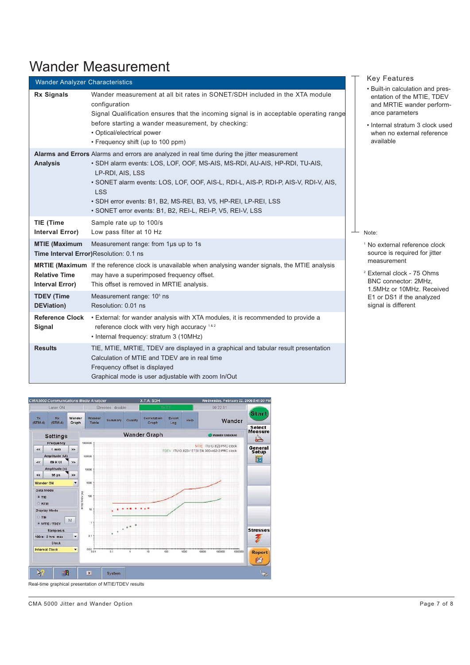## Wander Measurement

| <b>Wander Analyzer Characteristics</b>                                                      |                                                                                                                                                                                                                                                                                                                 |  |
|---------------------------------------------------------------------------------------------|-----------------------------------------------------------------------------------------------------------------------------------------------------------------------------------------------------------------------------------------------------------------------------------------------------------------|--|
| <b>Rx Signals</b>                                                                           | Wander measurement at all bit rates in SONET/SDH included in the XTA module<br>configuration<br>Signal Qualification ensures that the incoming signal is in acceptable operating range<br>before starting a wander measurement, by checking:<br>• Optical/electrical power<br>• Frequency shift (up to 100 ppm) |  |
| Alarms and Errors Alarms and errors are analyzed in real time during the jitter measurement |                                                                                                                                                                                                                                                                                                                 |  |
| <b>Analysis</b>                                                                             | . SDH alarm events: LOS, LOF, OOF, MS-AIS, MS-RDI, AU-AIS, HP-RDI, TU-AIS,<br>LP-RDI, AIS, LSS                                                                                                                                                                                                                  |  |
|                                                                                             | . SONET alarm events: LOS, LOF, OOF, AIS-L, RDI-L, AIS-P, RDI-P, AIS-V, RDI-V, AIS,<br><b>LSS</b>                                                                                                                                                                                                               |  |
|                                                                                             | · SDH error events: B1, B2, MS-REI, B3, V5, HP-REI, LP-REI, LSS                                                                                                                                                                                                                                                 |  |
|                                                                                             | · SONET error events: B1, B2, REI-L, REI-P, V5, REI-V, LSS                                                                                                                                                                                                                                                      |  |
| <b>TIE (Time</b><br>Interval Error)                                                         | Sample rate up to 100/s<br>Low pass filter at 10 Hz                                                                                                                                                                                                                                                             |  |
| <b>MTIE (Maximum</b>                                                                        | Measurement range: from 1µs up to 1s<br>Time Interval Error)Resolution: 0.1 ns                                                                                                                                                                                                                                  |  |
| <b>Relative Time</b><br><b>Interval Error)</b>                                              | <b>MRTIE (Maximum</b> If the reference clock is unavailable when analysing wander signals, the MTIE analysis<br>may have a superimposed frequency offset.<br>This offset is removed in MRTIE analysis.                                                                                                          |  |
| <b>TDEV (Time</b><br><b>DEViation</b> )                                                     | Measurement range: 10 <sup>5</sup> ns<br>Resolution: 0.01 ns                                                                                                                                                                                                                                                    |  |
| <b>Reference Clock</b><br>Signal                                                            | • External: for wander analysis with XTA modules, it is recommended to provide a<br>reference clock with very high accuracy <sup>1&amp;2</sup><br>• Internal frequency: stratum 3 (10MHz)                                                                                                                       |  |
| <b>Results</b>                                                                              | TIE, MTIE, MRTIE, TDEV are displayed in a graphical and tabular result presentation<br>Calculation of MTIE and TDEV are in real time<br>Frequency offset is displayed<br>Graphical mode is user adjustable with zoom In/Out                                                                                     |  |

Key Features

- Built-in calculation and presentation of the MTIE, TDEV and MRTIE wander performance parameters
- Internal stratum 3 clock used when no external reference available

- Note:

- <sup>1</sup> No external reference clock source is required for jitter measurement
- <sup>2</sup> External clock 75 Ohms BNC connector: 2MHz, 1.5MHz or 10MHz. Received E1 or DS1 if the analyzed signal is different